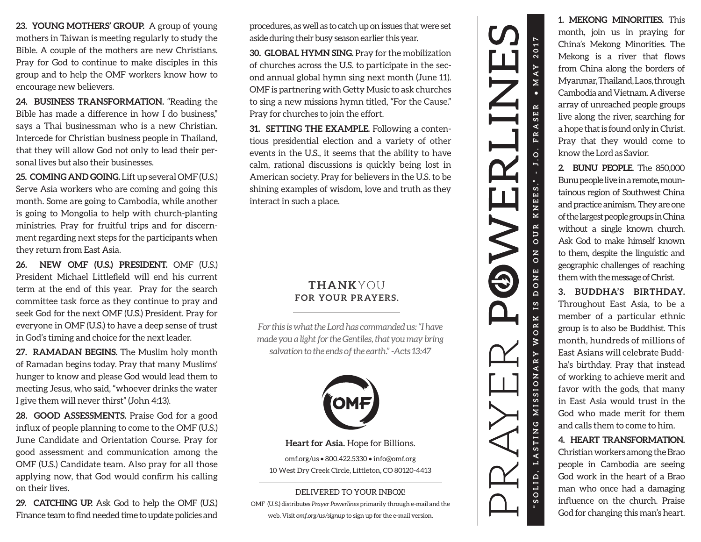**23. YOUNG MOTHERS' GROUP.** A group of young mothers in Taiwan is meeting regularly to study the Bible. A couple of the mothers are new Christians. Pray for God to continue to make disciples in this group and to help the OMF workers know how to encourage new believers.

**24. BUSINESS TRANSFORMATION.** "Reading the Bible has made a difference in how I do business,"<br>says a Thai businessman who is a new Christian.<br>Intercede for Christian business people in Thailand, that they will allow God not only to lead their personal lives but also their businesses.

**25. COMING AND GOING.** Lift up several OMF (U.S.) Serve Asia workers who are coming and going this month. Some are going to Cambodia, while another is going to Mongolia to help with church-planting ministries. Pray for fruitful trips and for discernment regarding next steps for the participants when they return from East Asia.

**26. NEW OMF (U.S.) PRESIDENT.** OMF (U.S.) President Michael Littlefield will end his current term at the end of this year. Pray for the search committee task force as they continue to pray and seek God for the next OMF (U.S.) President. Pray for everyone in OMF (U.S.) to have a deep sense of trust in God's timing and choice for the next leader.

**27. RAMADAN BEGINS.** The Muslim holy month of Ramadan begins today. Pray that many Muslims' hunger to know and please God would lead them to meeting Jesus, who said, "whoever drinks the water I give them will never thirst" (John 4:13).

**28. GOOD ASSESSMENTS.** Praise God for a good influx of people planning to come to the OMF (U.S.)<br>June Candidate and Orientation Course. Pray for<br>good assessment and communication among the<br>OMF (U.S.) Candidate team. Also pray for all those<br>applying now, that God woul on their lives.

**29. CATCHING UP.** Ask God to help the OMF (U.S.) Finance team to find needed time to update policies and

procedures, as well as to catch up on issues that were set aside during their busy season earlier this year.

**30. GLOBAL HYMN SING.** Pray for the mobilization of churches across the U.S. to participate in the second annual global hymn sing next month (June 11). OMF is partnering with Getty Music to ask churches to sing a new missions hymn titled, "For the Cause." Pray for churches to join the effort.

**31. SETTING THE EXAMPLE.** Following a contentious presidential election and a variety of other<br>events in the U.S., it seems that the ability to have<br>calm, rational discussions is quickly being lost in<br>American society. Pray for believers in the U.S. to be<br>shining ex

## **THANK**YOU **FOR YOUR PRAYERS.**

*For this is what the Lord has commanded us: "I have made you a light for the Gentiles, that you may bring salvation to the ends of the earth." -Acts 13:47*



**Heart for Asia.** Hope for Billions.

omf.org/us • 800.422.5330 • info@omf.org 10 West Dry Creek Circle, Littleton, CO 80120-4413

## DELIVERED TO YOUR INBOX!

OMF (U.S.) distributes *Prayer Powerlines* primarily through e-mail and the web. Visit *omf.org/us/signup* to sign up for the e-mail version.



**1. MEKONG MINORITIES.** This month, join us in praying for<br>China's Mekong Minorities. The<br>Mekong is a river that flows<br>from China along the borders of<br>Myanmar, Thailand, Laos, through<br>Cambodia and Vietnam. A diverse<br>array of unreached people groups<br>li

**2. BUNU PEOPLE.** The 850,000 Bunu people live in a remote, mountainous region of Southwest China<br>and practice animism. They are one<br>of the largest people groups in China<br>without a single known church.<br>Ask God to make himself known<br>to them, despite the linguistic and<br>geographic challen

**3. BUDDHA'S BIRTHDAY.** Throughout East Asia, to be a member of a particular ethnic group is to also be Buddhist. This month, hundreds of millions of East Asians will celebrate Buddha's birthday. Pray that instead of working to achieve merit and favor with the gods, that many in East Asia would trust in the God who made merit for them and calls them to come to him.

**4. HEART TRANSFORMATION.** Christian workers among the Brao people in Cambodia are seeing God work in the heart of a Brao man who once had a damaging influence on the church. Praise God for changing this man's heart.